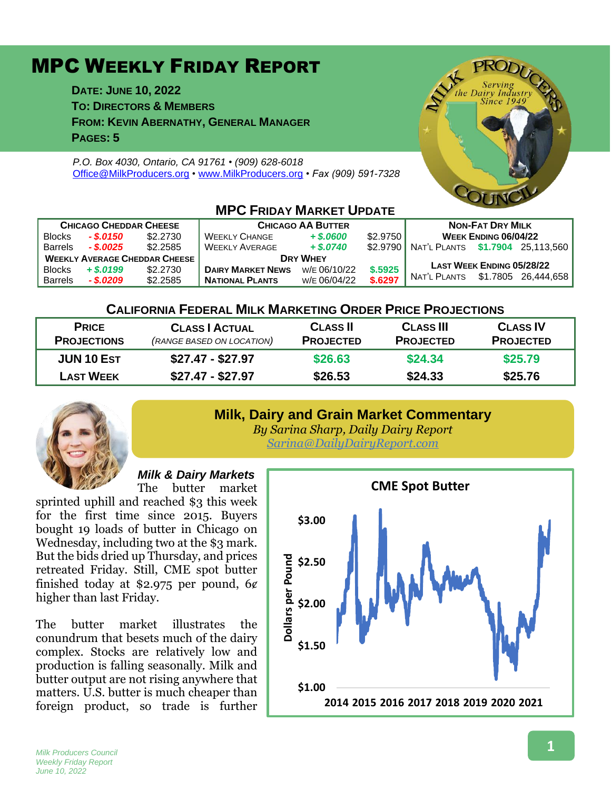# MPC WEEKLY FRIDAY REPORT

**DATE: JUNE 10, 2022 TO: DIRECTORS & MEMBERS FROM: KEVIN ABERNATHY, GENERAL MANAGER PAGES: 5**

*P.O. Box 4030, Ontario, CA 91761 • (909) 628-6018* [Office@MilkProducers.org](mailto:office@milkproducers.org) *•* [www.MilkProducers.org](http://www.milkproducers.org/) *• Fax (909) 591-7328*



| <b>CHICAGO CHEDDAR CHEESE</b>        |             |          | <b>CHICAGO AA BUTTER</b> |              |          | <b>NON-FAT DRY MILK</b>          |                                  |                     |  |  |  |
|--------------------------------------|-------------|----------|--------------------------|--------------|----------|----------------------------------|----------------------------------|---------------------|--|--|--|
| <b>Blocks</b>                        | - \$.0150   | \$2,2730 | <b>WEEKLY CHANGE</b>     | $+$ \$.0600  | \$2,9750 | WEEK ENDING 06/04/22             |                                  |                     |  |  |  |
| <b>Barrels</b>                       | $-$ \$.0025 | \$2,2585 | <b>WEEKLY AVERAGE</b>    | $+$ \$,0740  | \$2.9790 | NAT'L PLANTS \$1.7904 25.113.560 |                                  |                     |  |  |  |
| <b>WEEKLY AVERAGE CHEDDAR CHEESE</b> |             |          | <b>DRY WHEY</b>          |              |          |                                  |                                  |                     |  |  |  |
| <b>Blocks</b>                        | $+ $.0199$  | \$2,2730 | <b>DAIRY MARKET NEWS</b> | W/E 06/10/22 | \$.5925  |                                  | <b>LAST WEEK ENDING 05/28/22</b> |                     |  |  |  |
| <b>Barrels</b>                       | $-$ \$.0209 | \$2,2585 | <b>NATIONAL PLANTS</b>   | W/E 06/04/22 | \$.6297  | . Nat'l Plants                   |                                  | \$1.7805 26.444.658 |  |  |  |

#### **MPC FRIDAY MARKET UPDATE**

#### **CALIFORNIA FEDERAL MILK MARKETING ORDER PRICE PROJECTIONS**

| <b>PRICE</b>       | <b>CLASS   ACTUAL</b>     | <b>CLASS II</b>  | <b>CLASS III</b> | <b>CLASS IV</b>  |
|--------------------|---------------------------|------------------|------------------|------------------|
| <b>PROJECTIONS</b> | (RANGE BASED ON LOCATION) | <b>PROJECTED</b> | <b>PROJECTED</b> | <b>PROJECTED</b> |
| <b>JUN 10 EST</b>  | $$27.47 - $27.97$         | \$26.63          | \$24.34          | \$25.79          |
| <b>LAST WEEK</b>   | $$27.47 - $27.97$         | \$26.53          | \$24.33          | \$25.76          |
|                    |                           |                  |                  |                  |

## **Milk, Dairy and Grain Market Commentary**



*By Sarina Sharp, Daily Dairy Report [Sarina@DailyDairyReport.com](mailto:Sarina@DailyDairyReport.com)*

#### *Milk & Dairy Markets*

The butter market sprinted uphill and reached \$3 this week for the first time since 2015. Buyers bought 19 loads of butter in Chicago on Wednesday, including two at the \$3 mark. But the bids dried up Thursday, and prices retreated Friday. Still, CME spot butter finished today at \$2.975 per pound,  $6¢$ higher than last Friday.

The butter market illustrates the conundrum that besets much of the dairy complex. Stocks are relatively low and production is falling seasonally. Milk and butter output are not rising anywhere that matters. U.S. butter is much cheaper than foreign product, so trade is further



*Milk Producers Council Weekly Friday Report June 10, 2022*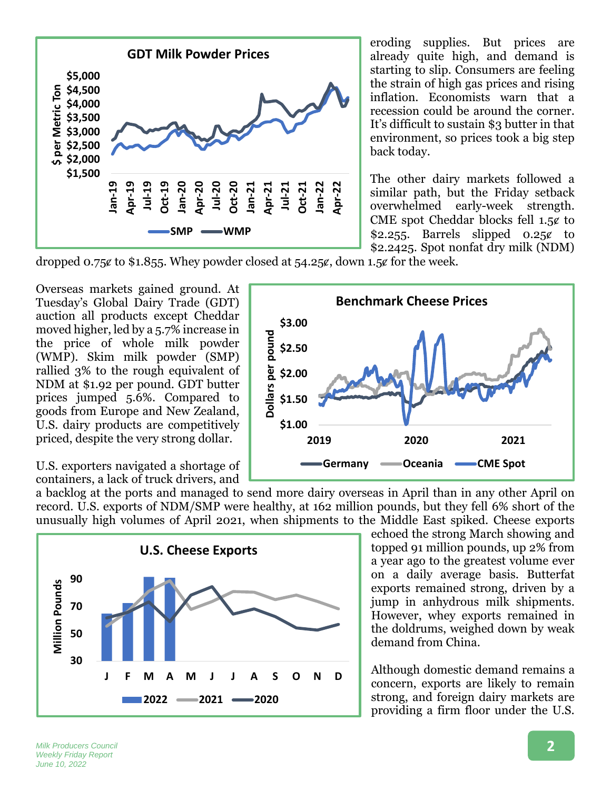

eroding supplies. But prices are already quite high, and demand is starting to slip. Consumers are feeling the strain of high gas prices and rising inflation. Economists warn that a recession could be around the corner. It's difficult to sustain \$3 butter in that environment, so prices took a big step back today.

The other dairy markets followed a similar path, but the Friday setback overwhelmed early-week strength. CME spot Cheddar blocks fell 1.5¢ to \$2.255. Barrels slipped  $0.25\ell$  to \$2.2425. Spot nonfat dry milk (NDM)

dropped 0.75 $\epsilon$  to \$1.855. Whey powder closed at 54.25 $\epsilon$ , down 1.5 $\epsilon$  for the week.

Overseas markets gained ground. At Tuesday's Global Dairy Trade (GDT) auction all products except Cheddar moved higher, led by a 5.7% increase in the price of whole milk powder (WMP). Skim milk powder (SMP) rallied 3% to the rough equivalent of NDM at \$1.92 per pound. GDT butter prices jumped 5.6%. Compared to goods from Europe and New Zealand, U.S. dairy products are competitively priced, despite the very strong dollar.

**Benchmark Cheese Prices \$3.00** Dollars per pound **Dollars per pound \$2.50 \$2.00 \$1.50 \$1.00 2019 2020 2021 Germany Oceania CME Spot**

U.S. exporters navigated a shortage of containers, a lack of truck drivers, and

a backlog at the ports and managed to send more dairy overseas in April than in any other April on record. U.S. exports of NDM/SMP were healthy, at 162 million pounds, but they fell 6% short of the unusually high volumes of April 2021, when shipments to the Middle East spiked. Cheese exports



echoed the strong March showing and topped 91 million pounds, up 2% from a year ago to the greatest volume ever on a daily average basis. Butterfat exports remained strong, driven by a jump in anhydrous milk shipments. However, whey exports remained in the doldrums, weighed down by weak demand from China.

Although domestic demand remains a concern, exports are likely to remain strong, and foreign dairy markets are providing a firm floor under the U.S.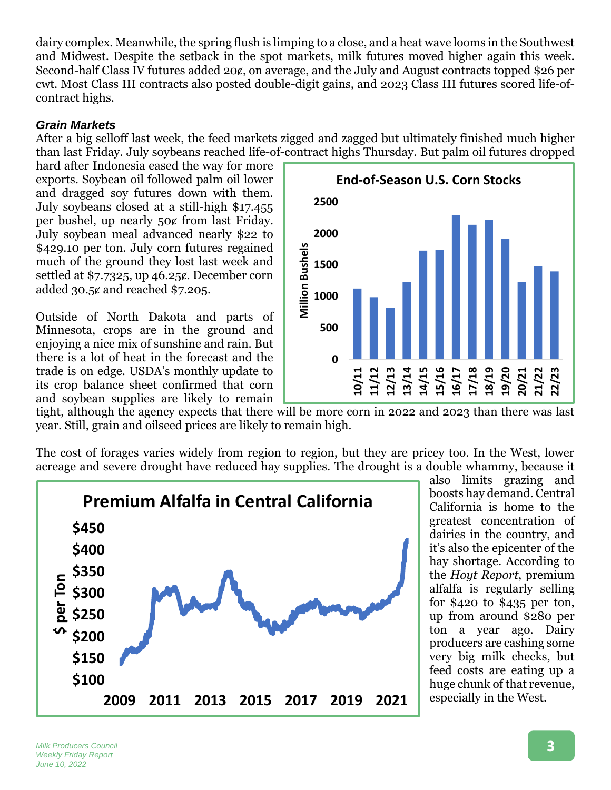dairy complex. Meanwhile, the spring flush is limping to a close, and a heat wave looms in the Southwest and Midwest. Despite the setback in the spot markets, milk futures moved higher again this week. Second-half Class IV futures added 20¢, on average, and the July and August contracts topped \$26 per cwt. Most Class III contracts also posted double-digit gains, and 2023 Class III futures scored life-ofcontract highs.

### *Grain Markets*

After a big selloff last week, the feed markets zigged and zagged but ultimately finished much higher than last Friday. July soybeans reached life-of-contract highs Thursday. But palm oil futures dropped

hard after Indonesia eased the way for more exports. Soybean oil followed palm oil lower and dragged soy futures down with them. July soybeans closed at a still-high \$17.455 per bushel, up nearly 50ȼ from last Friday. July soybean meal advanced nearly \$22 to \$429.10 per ton. July corn futures regained much of the ground they lost last week and settled at  $$7.7325$ , up  $46.25\ell$ . December corn added 30.5ȼ and reached \$7.205.

Outside of North Dakota and parts of Minnesota, crops are in the ground and enjoying a nice mix of sunshine and rain. But there is a lot of heat in the forecast and the trade is on edge. USDA's monthly update to its crop balance sheet confirmed that corn and soybean supplies are likely to remain



tight, although the agency expects that there will be more corn in 2022 and 2023 than there was last year. Still, grain and oilseed prices are likely to remain high.

The cost of forages varies widely from region to region, but they are pricey too. In the West, lower acreage and severe drought have reduced hay supplies. The drought is a double whammy, because it



also limits grazing and boosts hay demand. Central California is home to the greatest concentration of dairies in the country, and it's also the epicenter of the hay shortage. According to the *Hoyt Report*, premium alfalfa is regularly selling for \$420 to \$435 per ton, up from around \$280 per ton a year ago. Dairy producers are cashing some very big milk checks, but feed costs are eating up a huge chunk of that revenue, especially in the West.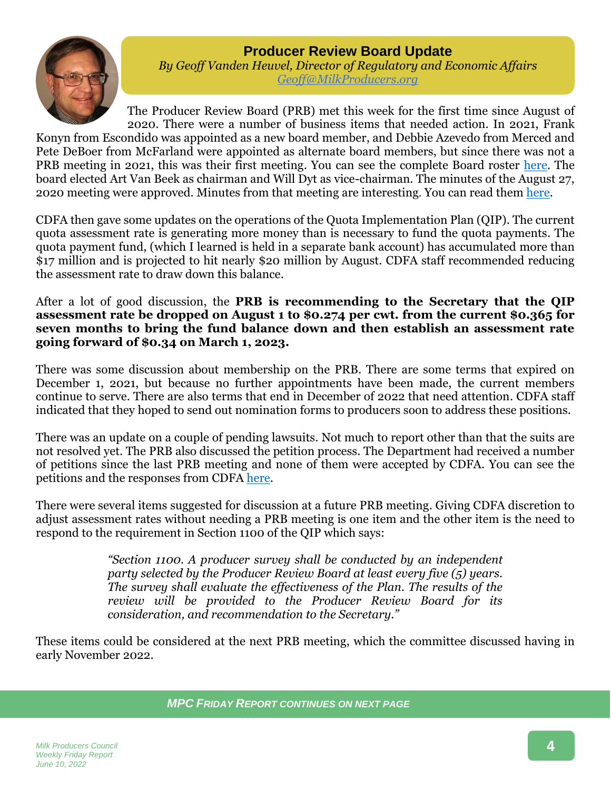# **Producer Review Board Update**



*By Geoff Vanden Heuvel, Director of Regulatory and Economic Affairs [Geoff@MilkProducers.org](mailto:Geoff@MilkProducers.org)*

The Producer Review Board (PRB) met this week for the first time since August of 2020. There were a number of business items that needed action. In 2021, Frank Konyn from Escondido was appointed as a new board member, and Debbie Azevedo from Merced and Pete DeBoer from McFarland were appointed as alternate board members, but since there was not a PRB meeting in 2021, this was their first meeting. You can see the complete Board roster [here.](https://318cf104-c1a1-48fb-a88a-b85b17afe36f.usrfiles.com/ugd/318cf1_d55762fdc18747889ba949a14117a65d.pdf) The board elected Art Van Beek as chairman and Will Dyt as vice-chairman. The minutes of the August 27, 2020 meeting were approved. Minutes from that meeting are interesting. You can read them [here.](https://318cf104-c1a1-48fb-a88a-b85b17afe36f.usrfiles.com/ugd/318cf1_451116eed778493197d837a048c62bab.pdf)

CDFA then gave some updates on the operations of the Quota Implementation Plan (QIP). The current quota assessment rate is generating more money than is necessary to fund the quota payments. The quota payment fund, (which I learned is held in a separate bank account) has accumulated more than \$17 million and is projected to hit nearly \$20 million by August. CDFA staff recommended reducing the assessment rate to draw down this balance.

After a lot of good discussion, the **PRB is recommending to the Secretary that the QIP assessment rate be dropped on August 1 to \$0.274 per cwt. from the current \$0.365 for seven months to bring the fund balance down and then establish an assessment rate going forward of \$0.34 on March 1, 2023.** 

There was some discussion about membership on the PRB. There are some terms that expired on December 1, 2021, but because no further appointments have been made, the current members continue to serve. There are also terms that end in December of 2022 that need attention. CDFA staff indicated that they hoped to send out nomination forms to producers soon to address these positions.

There was an update on a couple of pending lawsuits. Not much to report other than that the suits are not resolved yet. The PRB also discussed the petition process. The Department had received a number of petitions since the last PRB meeting and none of them were accepted by CDFA. You can see the petitions and the responses from CDFA [here.](https://www.cdfa.ca.gov/dairy/dairy_hearings_matrix.html)

There were several items suggested for discussion at a future PRB meeting. Giving CDFA discretion to adjust assessment rates without needing a PRB meeting is one item and the other item is the need to respond to the requirement in Section 1100 of the QIP which says:

> *"Section 1100. A producer survey shall be conducted by an independent party selected by the Producer Review Board at least every five (5) years. The survey shall evaluate the effectiveness of the Plan. The results of the review will be provided to the Producer Review Board for its consideration, and recommendation to the Secretary."*

These items could be considered at the next PRB meeting, which the committee discussed having in early November 2022.

*MPC FRIDAY REPORT CONTINUES ON NEXT PAGE*